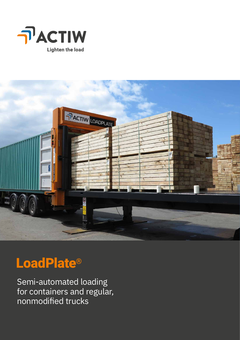



# LoadPlate®

Semi-automated loading for containers and regular, nonmodified trucks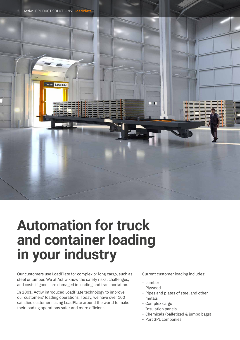

# **Automation for truck and container loading in your industry**

Our customers use LoadPlate for complex or long cargo, such as steel or lumber. We at Actiw know the safety risks, challenges, and costs if goods are damaged in loading and transportation.

In 2001, Actiw introduced LoadPlate technology to improve our customers' loading operations. Today, we have over 100 satisfied customers using LoadPlate around the world to make their loading operations safer and more efficient.

Current customer loading includes:

- Lumber
- Plywood
- Pipes and plates of steel and other metals
- Complex cargo
- Insulation panels
- Chemicals (palletized & jumbo bags)
- Port 3PL companies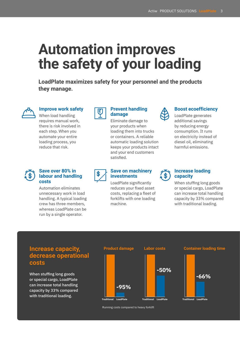# **Automation improves the safety of your loading**

**LoadPlate maximizes safety for your personnel and the products they manage.**



### **Improve work safety**

When load handling requires manual work, there is risk involved in each step. When you automate your entire loading process, you reduce that risk.



### **Prevent handling damage**

Eliminate damage to your products when loading them into trucks or containers. A reliable automatic loading solution keeps your products intact and your end customers satisfied.



### **Boost ecoefficiency**

LoadPlate generates additional savings by reducing energy consumption. It runs on electricity instead of diesel oil, eliminating harmful emissions.

### **Save over 80% in labour and handling costs**

Automation eliminates unnecessary work in load handling. A typical loading crew has three members, whereas LoadPlate can be run by a single operator.



### **Save on machinery investments**

LoadPlate significantly reduces your fixed asset costs, replacing a fleet of forklifts with one loading machine.



### **Increase loading capacity**

When stuffing long goods or special cargo, LoadPlate can increase total handling capacity by 33% compared with traditional loading.

# **Increase capacity, decrease operational costs**

When stuffing long goods or special cargo, LoadPlate can increase total handling capacity by 33% compared with traditional loading.







Running costs compared to heavy forklift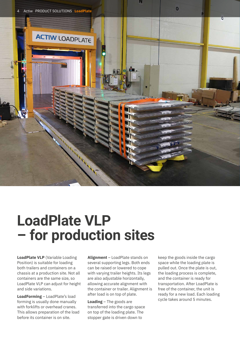

# **LoadPlate VLP – for production sites**

**LoadPlate VLP** (Variable Loading Position) is suitable for loading both trailers and containers on a chassis at a production site. Not all containers are the same size, so LoadPlate VLP can adjust for height and side variations.

**LoadForming** – LoadPlate's load forming is usually done manually with forklifts or overhead cranes. This allows preparation of the load before its container is on site.

**Alignment** – LoadPlate stands on several supporting legs. Both ends can be raised or lowered to cope with varying trailer heights. Its legs are also adjustable horizontally, allowing accurate alignment with the container or trailer. Alignment is after load is on top of plate.

**Loading** – The goods are transferred into the cargo space on top of the loading plate. The stopper gate is driven down to

keep the goods inside the cargo space while the loading plate is pulled out. Once the plate is out, the loading process is complete, and the container is ready for transportation. After LoadPlate is free of the container, the unit is ready for a new load. Each loading cycle takes around 5 minutes.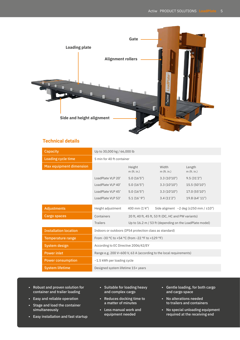

## **Technical details**

| Capacity                       | Up to 30,000 kg / 66,000 lb                                        |                                                                         |                        |                         |  |  |
|--------------------------------|--------------------------------------------------------------------|-------------------------------------------------------------------------|------------------------|-------------------------|--|--|
| Loading cycle time             | 5 min for 40 ft container                                          |                                                                         |                        |                         |  |  |
| <b>Max equipment dimension</b> |                                                                    | Height<br>$m$ (ft. in.)                                                 | Width<br>$m$ (ft. in.) | Length<br>$m$ (ft. in.) |  |  |
|                                | LoadPlate VLP 20'                                                  | 5.0(16'5")                                                              | 3.3(10'10'')           | 9.5(31'2")              |  |  |
|                                | LoadPlate VLP 40'                                                  | 5.0(16'5")                                                              | 3.3(10'10'')           | 15.5(50'10'')           |  |  |
|                                | LoadPlate VLP 45'                                                  | 5.0(16'5")                                                              | 3.3(10'10'')           | 17.0 (55'10")           |  |  |
|                                | LoadPlate VLP 53'                                                  | 5.1(16'9")                                                              | 3.4(11'2")             | 19.8 (64' 11")          |  |  |
| <b>Adjustments</b>             | Height adjustment                                                  | 400 mm (1'4")<br>Side aligment $\sim$ 2 deg ( $\pm$ 250 mm / $\pm$ 10") |                        |                         |  |  |
| Cargo spaces                   | Containers                                                         | 20 ft, 40 ft, 45 ft, 53 ft (DC, HC and PW variants)                     |                        |                         |  |  |
|                                | <b>Trailers</b>                                                    | Up to 16.2 m / 53 ft (depending on the LoadPlate model)                 |                        |                         |  |  |
| <b>Installation location</b>   | Indoors or outdoors (IP54 protection class as standard)            |                                                                         |                        |                         |  |  |
| <b>Temperature range</b>       | From -30 °C to +54 °C (from -22 °F to +129 °F)                     |                                                                         |                        |                         |  |  |
| System design                  | According to EC Directive 2006/42/EY                               |                                                                         |                        |                         |  |  |
| <b>Power inlet</b>             | Range e.g. 200 V-600 V, 63 A (according to the local requirements) |                                                                         |                        |                         |  |  |
| <b>Power consumption</b>       | ~1.5 kWh per loading cycle                                         |                                                                         |                        |                         |  |  |
| <b>System lifetime</b>         | Designed system lifetime 15+ years                                 |                                                                         |                        |                         |  |  |

- Robust and proven solution for container and trailer loading
- Easy and reliable operation
- Stage and load the container simultaneously
- Easy installation and fast startup
- Suitable for loading heavy and complex cargo
- Reduces docking time to a matter of minutes
- Less manual work and equipment needed
- Gentle loading, for both cargo and cargo space
- No alterations needed to trailers and containers
- No special unloading equipment required at the receiving end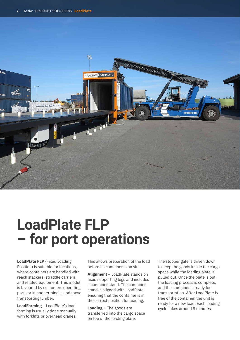

# **LoadPlate FLP – for port operations**

**LoadPlate FLP** (Fixed Loading Position) is suitable for locations, where containers are handled with reach stackers, straddle carriers and related equipment. This model is favoured by customers operating ports or inland terminals, and those transporting lumber.

**LoadForming** – LoadPlate's load forming is usually done manually with forklifts or overhead cranes. This allows preparation of the load before its container is on site.

**Alignment** – LoadPlate stands on fixed supporting legs and includes a container stand. The container stand is aligned with LoadPlate, ensuring that the container is in the correct position for loading.

**Loading** – The goods are transferred into the cargo space on top of the loading plate.

The stopper gate is driven down to keep the goods inside the cargo space while the loading plate is pulled out. Once the plate is out, the loading process is complete, and the container is ready for transportation. After LoadPlate is free of the container, the unit is ready for a new load. Each loading cycle takes around 5 minutes.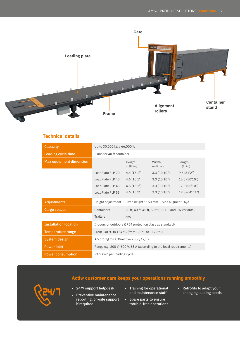

# **Technical details**

| <b>Capacity</b>              | Up to 30,000 kg / 66,000 lb                                        |                                                     |                        |                         |  |
|------------------------------|--------------------------------------------------------------------|-----------------------------------------------------|------------------------|-------------------------|--|
| Loading cycle time           | 5 min for 40 ft container                                          |                                                     |                        |                         |  |
| Max equipment dimension      |                                                                    | Height<br>$m$ (ft. in.)                             | Width<br>$m$ (ft. in.) | Length<br>$m$ (ft. in.) |  |
|                              | LoadPlate FLP 20'                                                  | 4.6(15'1")                                          | 3.3(10'10'')           | 9.5(31'2")              |  |
|                              | LoadPlate FLP 40'                                                  | 4.6(15'1")                                          | 3.3(10'10'')           | 15.5(50'10'')           |  |
|                              | LoadPlate FLP 45'                                                  | 4.6(15'1")                                          | 3.3(10'10'')           | 17.0(55'10")            |  |
|                              | LoadPlate FLP 53'                                                  | 4.6(15'1")                                          | 3.3(10'10'')           | 19.8 (64' 11")          |  |
| <b>Adjustments</b>           | Height adjustment                                                  | Fixed height 1150 mm Side aligment N/A              |                        |                         |  |
| Cargo spaces                 | Containers                                                         | 20 ft, 40 ft, 45 ft, 53 ft (DC, HC and PW variants) |                        |                         |  |
|                              | <b>Trailers</b>                                                    | N/A                                                 |                        |                         |  |
| <b>Installation location</b> | Indoors or outdoors (IP54 protection class as standard)            |                                                     |                        |                         |  |
| Temperature range            | From -30 °C to +54 °C (from -22 °F to +129 °F)                     |                                                     |                        |                         |  |
| System design                | According to EC Directive 2006/42/EY                               |                                                     |                        |                         |  |
| <b>Power inlet</b>           | Range e.g. 200 V-600 V, 63 A (according to the local requirements) |                                                     |                        |                         |  |
| <b>Power consumption</b>     | ~1.5 kWh per loading cycle                                         |                                                     |                        |                         |  |

# **Actiw customer care keeps your operations running smoothly**



- 24/7 support helpdesk
- Preventive maintenance reporting, on-site support if required
- Training for operational and maintenance staff
- Spare parts to ensure trouble-free operations
- Retrofits to adapt your changing loading needs